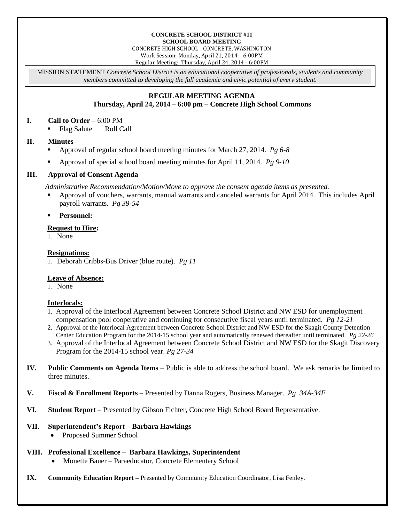#### **CONCRETE SCHOOL DISTRICT #11 SCHOOL BOARD MEETING**

CONCRETE HIGH SCHOOL - CONCRETE, WASHINGTON Work Session: Monday, April 21, 2014 – 6:00PM

Regular Meeting: Thursday, April 24, 2014 - 6:00PM

MISSION STATEMENT *Concrete School District is an educational cooperative of professionals, students and community members committed to developing the full academic and civic potential of every student.*

# **REGULAR MEETING AGENDA Thursday, April 24, 2014 – 6:00 pm – Concrete High School Commons**

#### **I. Call to Order** – 6:00 PM

■ Flag Salute Roll Call

# **II. Minutes**

- Approval of regular school board meeting minutes for March 27, 2014. *Pg 6-8*
- Approval of special school board meeting minutes for April 11, 2014. *Pg 9-10*

# **III. Approval of Consent Agenda**

*Administrative Recommendation/Motion/Move to approve the consent agenda items as presented.*

 Approval of vouchers, warrants, manual warrants and canceled warrants for April 2014. This includes April payroll warrants. *Pg 39-54*

#### **Personnel:**

#### **Request to Hire:**

1. None

#### **Resignations:**

1. Deborah Cribbs-Bus Driver (blue route). *Pg 11*

# **Leave of Absence:**

1. None

# **Interlocals:**

- 1. Approval of the Interlocal Agreement between Concrete School District and NW ESD for unemployment compensation pool cooperative and continuing for consecutive fiscal years until terminated. *Pg 12-21*
- 2. Approval of the Interlocal Agreement between Concrete School District and NW ESD for the Skagit County Detention Center Education Program for the 2014-15 school year and automatically renewed thereafter until terminated. *Pg 22-26*
- 3. Approval of the Interlocal Agreement between Concrete School District and NW ESD for the Skagit Discovery Program for the 2014-15 school year. *Pg 27-34*
- **IV. Public Comments on Agenda Items** Public is able to address the school board. We ask remarks be limited to three minutes.
- **V. Fiscal & Enrollment Reports –** Presented by Danna Rogers, Business Manager. *Pg 34A-34F*
- **VI. Student Report** Presented by Gibson Fichter, Concrete High School Board Representative.

#### **VII. Superintendent's Report – Barbara Hawkings**

Proposed Summer School

# **VIII. Professional Excellence – Barbara Hawkings, Superintendent**

- Monette Bauer Paraeducator, Concrete Elementary School
- **IX. Community Education Report –** Presented by Community Education Coordinator, Lisa Fenley.